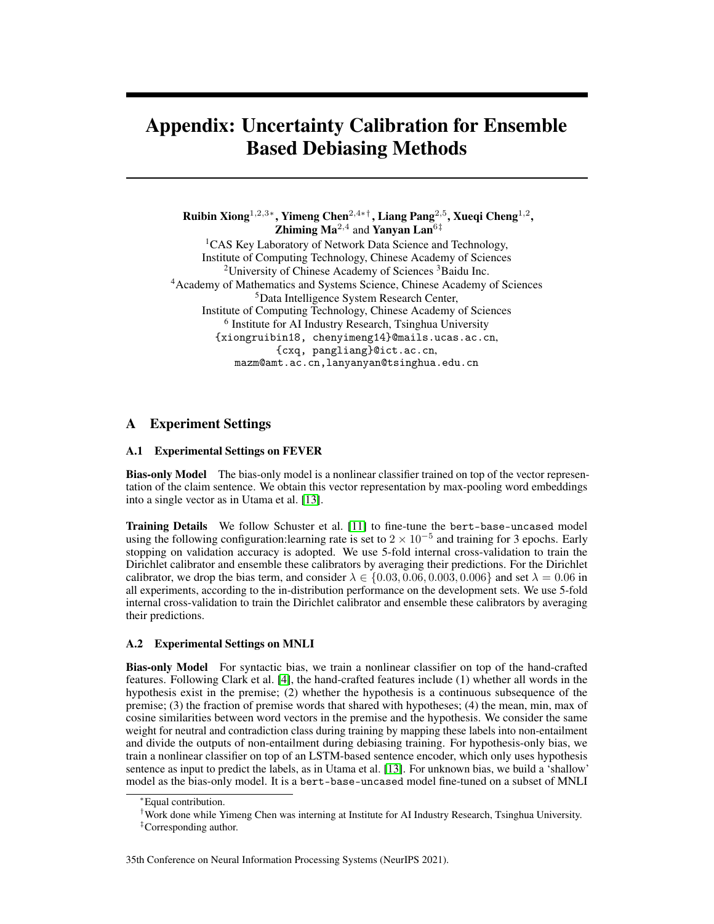# Appendix: Uncertainty Calibration for Ensemble Based Debiasing Methods

Ruibin Xiong $^{1,2,3*},$  Yimeng Chen $^{2,4* \dagger},$  Liang Pang $^{2,5},$  Xueqi Cheng $^{1,2},$ **Zhiming Ma<sup>2,4</sup>** and **Yanyan Lan**<sup>6‡</sup> <sup>1</sup>CAS Key Laboratory of Network Data Science and Technology, Institute of Computing Technology, Chinese Academy of Sciences <sup>2</sup>University of Chinese Academy of Sciences <sup>3</sup>Baidu Inc. <sup>4</sup>Academy of Mathematics and Systems Science, Chinese Academy of Sciences <sup>5</sup>Data Intelligence System Research Center, Institute of Computing Technology, Chinese Academy of Sciences <sup>6</sup> Institute for AI Industry Research, Tsinghua University {xiongruibin18, chenyimeng14}@mails.ucas.ac.cn, {cxq, pangliang}@ict.ac.cn, mazm@amt.ac.cn,lanyanyan@tsinghua.edu.cn

## A Experiment Settings

#### A.1 Experimental Settings on FEVER

**Bias-only Model** The bias-only model is a nonlinear classifier trained on top of the vector representation of the claim sentence. We obtain this vector representation by max-pooling word embeddings into a single vector as in Utama et al. [\[13\]](#page-7-0).

Training Details We follow Schuster et al. [\[11\]](#page-7-1) to fine-tune the bert-base-uncased model using the following configuration: learning rate is set to  $2 \times 10^{-5}$  and training for 3 epochs. Early stopping on validation accuracy is adopted. We use 5-fold internal cross-validation to train the Dirichlet calibrator and ensemble these calibrators by averaging their predictions. For the Dirichlet calibrator, we drop the bias term, and consider  $\lambda \in \{0.03, 0.06, 0.003, 0.006\}$  and set  $\lambda = 0.06$  in all experiments, according to the in-distribution performance on the development sets. We use 5-fold internal cross-validation to train the Dirichlet calibrator and ensemble these calibrators by averaging their predictions.

#### A.2 Experimental Settings on MNLI

Bias-only Model For syntactic bias, we train a nonlinear classifier on top of the hand-crafted features. Following Clark et al. [\[4\]](#page-7-2), the hand-crafted features include (1) whether all words in the hypothesis exist in the premise; (2) whether the hypothesis is a continuous subsequence of the premise; (3) the fraction of premise words that shared with hypotheses; (4) the mean, min, max of cosine similarities between word vectors in the premise and the hypothesis. We consider the same weight for neutral and contradiction class during training by mapping these labels into non-entailment and divide the outputs of non-entailment during debiasing training. For hypothesis-only bias, we train a nonlinear classifier on top of an LSTM-based sentence encoder, which only uses hypothesis sentence as input to predict the labels, as in Utama et al. [\[13\]](#page-7-0). For unknown bias, we build a 'shallow' model as the bias-only model. It is a bert-base-uncased model fine-tuned on a subset of MNLI

<sup>∗</sup>Equal contribution.

<sup>†</sup>Work done while Yimeng Chen was interning at Institute for AI Industry Research, Tsinghua University.

<sup>‡</sup>Corresponding author.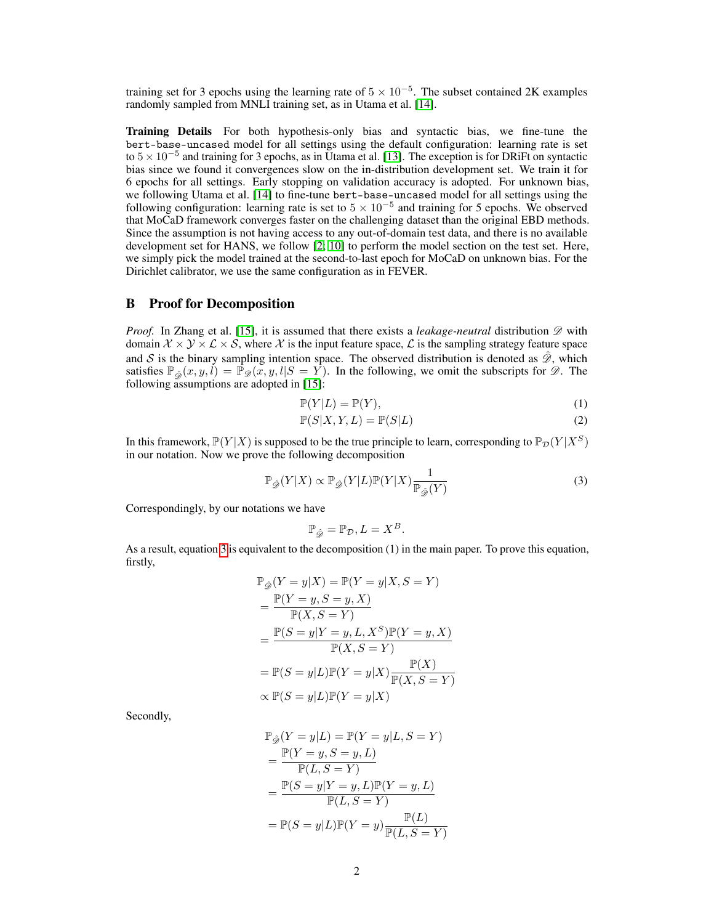training set for 3 epochs using the learning rate of  $5 \times 10^{-5}$ . The subset contained 2K examples randomly sampled from MNLI training set, as in Utama et al. [\[14\]](#page-7-3).

Training Details For both hypothesis-only bias and syntactic bias, we fine-tune the bert-base-uncased model for all settings using the default configuration: learning rate is set to 5×10−<sup>5</sup> and training for 3 epochs, as in Utama et al. [\[13\]](#page-7-0). The exception is for DRiFt on syntactic bias since we found it convergences slow on the in-distribution development set. We train it for 6 epochs for all settings. Early stopping on validation accuracy is adopted. For unknown bias, we following Utama et al. [\[14\]](#page-7-3) to fine-tune bert-base-uncased model for all settings using the following configuration: learning rate is set to  $5 \times 10^{-5}$  and training for 5 epochs. We observed that MoCaD framework converges faster on the challenging dataset than the original EBD methods. Since the assumption is not having access to any out-of-domain test data, and there is no available development set for HANS, we follow [\[2;](#page-7-4) [10\]](#page-7-5) to perform the model section on the test set. Here, we simply pick the model trained at the second-to-last epoch for MoCaD on unknown bias. For the Dirichlet calibrator, we use the same configuration as in FEVER.

## B Proof for Decomposition

*Proof.* In Zhang et al. [\[15\]](#page-7-6), it is assumed that there exists a *leakage-neutral* distribution  $\mathscr{D}$  with domain  $X \times Y \times Z \times S$ , where X is the input feature space, L is the sampling strategy feature space and S is the binary sampling intention space. The observed distribution is denoted as  $\hat{\mathscr{D}}$ , which satisfies  $\mathbb{P}_{\hat{\mathcal{D}}}(x, y, l) = \mathbb{P}_{\hat{\mathcal{D}}}(x, y, l | S = Y)$ . In the following, we omit the subscripts for  $\hat{\mathcal{D}}$ . The following assumptions are adopted in [\[15\]](#page-7-6):

$$
\mathbb{P}(Y|L) = \mathbb{P}(Y),\tag{1}
$$

<span id="page-1-0"></span>
$$
\mathbb{P}(S|X,Y,L) = \mathbb{P}(S|L)
$$
\n(2)

In this framework,  $\mathbb{P}(Y|X)$  is supposed to be the true principle to learn, corresponding to  $\mathbb{P}_{\mathcal{D}}(Y|X^S)$ in our notation. Now we prove the following decomposition

$$
\mathbb{P}_{\hat{\mathscr{D}}}(Y|X) \propto \mathbb{P}_{\hat{\mathscr{D}}}(Y|L)\mathbb{P}(Y|X)\frac{1}{\mathbb{P}_{\hat{\mathscr{D}}}(Y)}\tag{3}
$$

Correspondingly, by our notations we have

$$
\mathbb{P}_{\hat{\mathcal{D}}} = \mathbb{P}_{\mathcal{D}}, L = X^B.
$$

As a result, equation [3](#page-1-0) is equivalent to the decomposition (1) in the main paper. To prove this equation, firstly,

$$
\begin{aligned} &\mathbb{P}_{\hat{\mathcal{D}}}(Y=y|X) = \mathbb{P}(Y=y|X,S=Y) \\ &=\frac{\mathbb{P}(Y=y,S=y,X)}{\mathbb{P}(X,S=Y)}\\ &=\frac{\mathbb{P}(S=y|Y=y,L,X^S)\mathbb{P}(Y=y,X)}{\mathbb{P}(X,S=Y)}\\ &=\mathbb{P}(S=y|L)\mathbb{P}(Y=y|X)\frac{\mathbb{P}(X)}{\mathbb{P}(X,S=Y)}\\ &\propto \mathbb{P}(S=y|L)\mathbb{P}(Y=y|X) \end{aligned}
$$

Secondly,

$$
\mathbb{P}_{\hat{\mathscr{D}}}(Y = y|L) = \mathbb{P}(Y = y|L, S = Y)
$$
\n
$$
= \frac{\mathbb{P}(Y = y, S = y, L)}{\mathbb{P}(L, S = Y)}
$$
\n
$$
= \frac{\mathbb{P}(S = y|Y = y, L)\mathbb{P}(Y = y, L)}{\mathbb{P}(L, S = Y)}
$$
\n
$$
= \mathbb{P}(S = y|L)\mathbb{P}(Y = y)\frac{\mathbb{P}(L)}{\mathbb{P}(L, S = Y)}
$$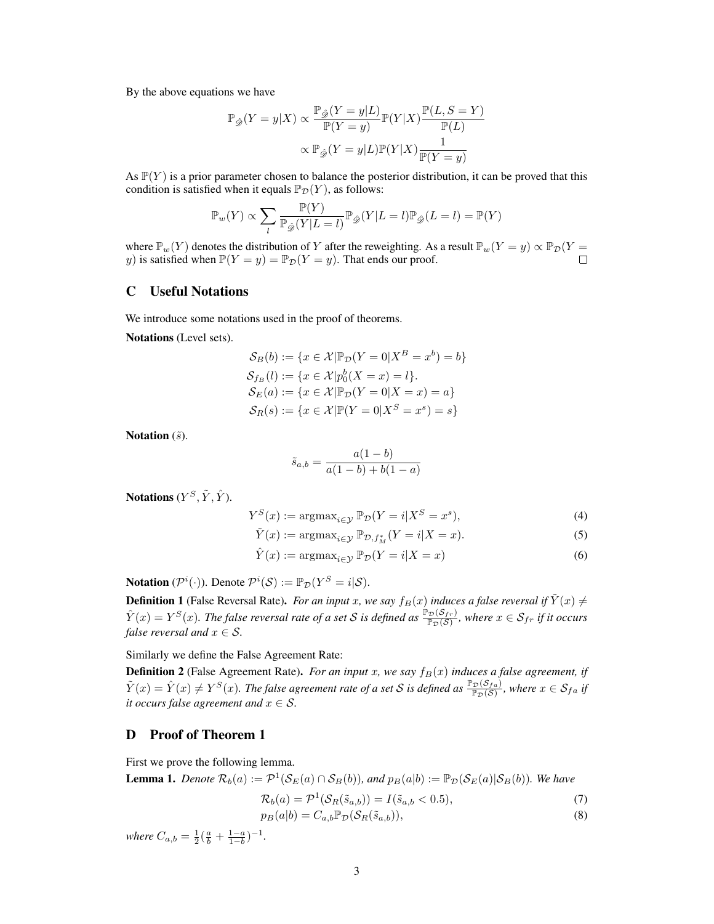By the above equations we have

$$
\begin{aligned} \mathbb{P}_{\hat{\mathscr{D}}}(Y=y|X) &\propto \frac{\mathbb{P}_{\hat{\mathscr{D}}}(Y=y|L)}{\mathbb{P}(Y=y)}\mathbb{P}(Y|X)\frac{\mathbb{P}(L,S=Y)}{\mathbb{P}(L)}\\ &\propto \mathbb{P}_{\hat{\mathscr{D}}}(Y=y|L)\mathbb{P}(Y|X)\frac{1}{\mathbb{P}(Y=y)} \end{aligned}
$$

As  $\mathbb{P}(Y)$  is a prior parameter chosen to balance the posterior distribution, it can be proved that this condition is satisfied when it equals  $\mathbb{P}_{\mathcal{D}}(Y)$ , as follows:

$$
\mathbb{P}_w(Y) \propto \sum_l \frac{\mathbb{P}(Y)}{\mathbb{P}_{\hat{\mathscr{D}}}(Y|L=l)} \mathbb{P}_{\hat{\mathscr{D}}}(Y|L=l) \mathbb{P}_{\hat{\mathscr{D}}}(L=l) = \mathbb{P}(Y)
$$

where  $\mathbb{P}_w(Y)$  denotes the distribution of Y after the reweighting. As a result  $\mathbb{P}_w(Y = y) \propto \mathbb{P}_p(Y = y)$ y) is satisfied when  $\mathbb{P}(Y = y) = \mathbb{P}_{\mathcal{D}}(Y = y)$ . That ends our proof.

## C Useful Notations

We introduce some notations used in the proof of theorems.

Notations (Level sets).

$$
S_B(b) := \{x \in \mathcal{X} | \mathbb{P}_{\mathcal{D}}(Y = 0 | X^B = x^b) = b\}
$$
  
\n
$$
S_{f_B}(l) := \{x \in \mathcal{X} | p_0^b(X = x) = l\}.
$$
  
\n
$$
S_E(a) := \{x \in \mathcal{X} | \mathbb{P}_{\mathcal{D}}(Y = 0 | X = x) = a\}
$$
  
\n
$$
S_R(s) := \{x \in \mathcal{X} | \mathbb{P}(Y = 0 | X^S = x^s) = s\}
$$

Notation  $(\tilde{s})$ .

$$
\tilde{s}_{a,b} = \frac{a(1-b)}{a(1-b) + b(1-a)}
$$

Notations  $(Y^S, \tilde{Y}, \hat{Y})$ .

$$
Y^{S}(x) := \operatorname{argmax}_{i \in \mathcal{Y}} \mathbb{P}_{\mathcal{D}}(Y = i | X^{S} = x^{s}), \tag{4}
$$

$$
\tilde{Y}(x) := \operatorname{argmax}_{i \in \mathcal{Y}} \mathbb{P}_{\mathcal{D}, f_M^*}(Y = i | X = x). \tag{5}
$$

$$
\hat{Y}(x) := \operatorname{argmax}_{i \in \mathcal{Y}} \mathbb{P}_{\mathcal{D}}(Y = i | X = x)
$$
\n(6)

**Notation**  $(\mathcal{P}^i(\cdot))$ . Denote  $\mathcal{P}^i(\mathcal{S}) := \mathbb{P}_{\mathcal{D}}(Y^S = i|\mathcal{S})$ .

**Definition 1** (False Reversal Rate). *For an input* x, we say  $f_B(x)$  *induces a false reversal if*  $\tilde{Y}(x) \neq$  $\hat{Y}(x) = Y^S(x)$ . The false reversal rate of a set S is defined as  $\frac{\mathbb{P}_{\mathcal{D}}(S_{fr})}{\mathbb{P}_{\mathcal{D}}(S)}$ , where  $x \in S_{fr}$  if it occurs *false reversal and*  $x \in S$ .

Similarly we define the False Agreement Rate:

**Definition 2** (False Agreement Rate). *For an input x, we say*  $f_B(x)$  *induces a false agreement, if*  $\tilde{Y}(x) = \hat{Y}(x) \neq Y^S(x)$ . The false agreement rate of a set S is defined as  $\frac{\mathbb{P}_{\mathcal{D}}(S_{fa})}{\mathbb{P}_{\mathcal{D}}(S)}$ , where  $x \in \mathcal{S}_{fa}$  if *it occurs false agreement and*  $x \in S$ .

## D Proof of Theorem 1

First we prove the following lemma.

<span id="page-2-0"></span>**Lemma 1.** Denote  $\mathcal{R}_b(a) := \mathcal{P}^1(\mathcal{S}_E(a) \cap \mathcal{S}_B(b))$ , and  $p_B(a|b) := \mathbb{P}_{\mathcal{D}}(\mathcal{S}_E(a)|\mathcal{S}_B(b))$ . We have

$$
\mathcal{R}_b(a) = \mathcal{P}^1(\mathcal{S}_R(\tilde{s}_{a,b})) = I(\tilde{s}_{a,b} < 0.5),\tag{7}
$$

$$
p_B(a|b) = C_{a,b} \mathbb{P}_{\mathcal{D}}(\mathcal{S}_R(\tilde{s}_{a,b})),\tag{8}
$$

*where*  $C_{a,b} = \frac{1}{2}(\frac{a}{b} + \frac{1-a}{1-b})^{-1}$ *.*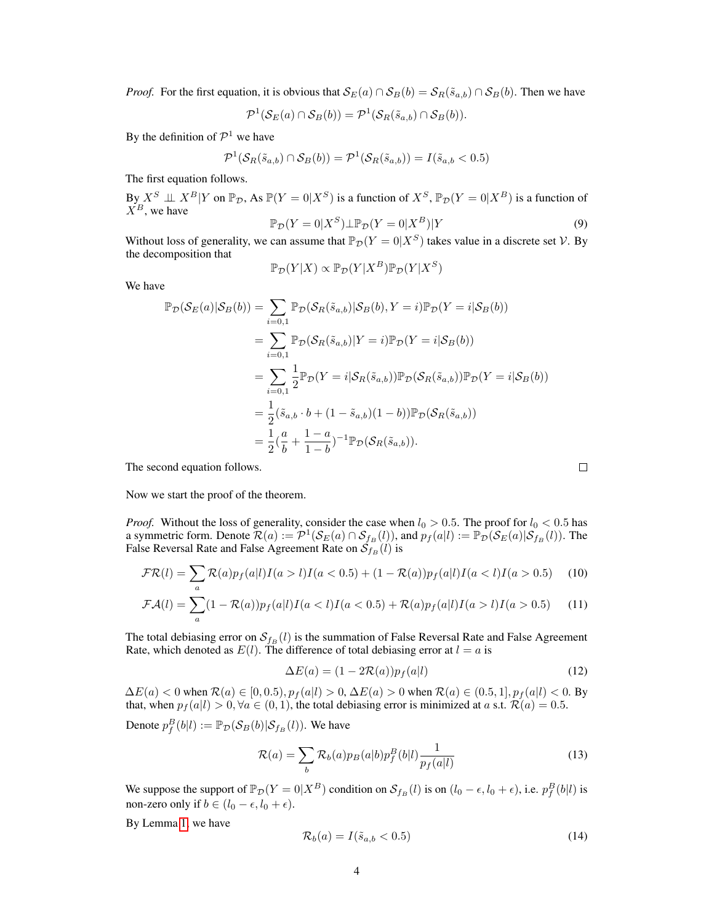*Proof.* For the first equation, it is obvious that  $S_E(a) \cap S_B(b) = S_R(\tilde{s}_{a,b}) \cap S_B(b)$ . Then we have

$$
\mathcal{P}^1(\mathcal{S}_E(a) \cap \mathcal{S}_B(b)) = \mathcal{P}^1(\mathcal{S}_R(\tilde{s}_{a,b}) \cap \mathcal{S}_B(b)).
$$

By the definition of  $\mathcal{P}^1$  we have

$$
\mathcal{P}^1(\mathcal{S}_R(\tilde{s}_{a,b}) \cap \mathcal{S}_B(b)) = \mathcal{P}^1(\mathcal{S}_R(\tilde{s}_{a,b})) = I(\tilde{s}_{a,b} < 0.5)
$$

The first equation follows.

By  $X^S \perp \!\!\! \perp X^B | Y$  on  $\mathbb{P}_{\mathcal{D}}$ , As  $\mathbb{P}(Y = 0 | X^S)$  is a function of  $X^S$ ,  $\mathbb{P}_{\mathcal{D}}(Y = 0 | X^B)$  is a function of  $X^B$ , we have

$$
\mathbb{P}_{\mathcal{D}}(Y=0|X^S)\bot \mathbb{P}_{\mathcal{D}}(Y=0|X^B)|Y\tag{9}
$$

Without loss of generality, we can assume that  $\mathbb{P}_{\mathcal{D}}(Y = 0 | X^S)$  takes value in a discrete set V. By the decomposition that

$$
\mathbb{P}_{\mathcal{D}}(Y|X) \propto \mathbb{P}_{\mathcal{D}}(Y|X^B)\mathbb{P}_{\mathcal{D}}(Y|X^S)
$$

We have

$$
\mathbb{P}_{\mathcal{D}}(\mathcal{S}_{E}(a)|\mathcal{S}_{B}(b)) = \sum_{i=0,1} \mathbb{P}_{\mathcal{D}}(\mathcal{S}_{R}(\tilde{s}_{a,b})|\mathcal{S}_{B}(b), Y = i)\mathbb{P}_{\mathcal{D}}(Y = i|\mathcal{S}_{B}(b))
$$
  
\n
$$
= \sum_{i=0,1} \mathbb{P}_{\mathcal{D}}(\mathcal{S}_{R}(\tilde{s}_{a,b})|Y = i)\mathbb{P}_{\mathcal{D}}(Y = i|\mathcal{S}_{B}(b))
$$
  
\n
$$
= \sum_{i=0,1} \frac{1}{2} \mathbb{P}_{\mathcal{D}}(Y = i|\mathcal{S}_{R}(\tilde{s}_{a,b}))\mathbb{P}_{\mathcal{D}}(\mathcal{S}_{R}(\tilde{s}_{a,b}))\mathbb{P}_{\mathcal{D}}(Y = i|\mathcal{S}_{B}(b))
$$
  
\n
$$
= \frac{1}{2}(\tilde{s}_{a,b} \cdot b + (1 - \tilde{s}_{a,b})(1 - b))\mathbb{P}_{\mathcal{D}}(\mathcal{S}_{R}(\tilde{s}_{a,b}))
$$
  
\n
$$
= \frac{1}{2}(\frac{a}{b} + \frac{1 - a}{1 - b})^{-1}\mathbb{P}_{\mathcal{D}}(\mathcal{S}_{R}(\tilde{s}_{a,b})).
$$

The second equation follows.

Now we start the proof of the theorem.

*Proof.* Without the loss of generality, consider the case when  $l_0 > 0.5$ . The proof for  $l_0 < 0.5$  has a symmetric form. Denote  $\mathcal{R}(a) := \mathcal{P}^1(\mathcal{S}_E(a) \cap \mathcal{S}_{f_B}(l))$ , and  $p_f(a|l) := \mathbb{P}_{\mathcal{D}}(\mathcal{S}_E(a)|\mathcal{S}_{f_B}(l))$ . The False Reversal Rate and False Agreement Rate on  $\mathcal{S}_{f_B}(l)$  is

$$
\mathcal{FR}(l) = \sum_{a} \mathcal{R}(a) p_f(a|l) I(a > l) I(a < 0.5) + (1 - \mathcal{R}(a)) p_f(a|l) I(a < l) I(a > 0.5)
$$
 (10)

$$
\mathcal{F}\mathcal{A}(l) = \sum_{a} (1 - \mathcal{R}(a)) p_f(a|l) I(a < l) I(a < 0.5) + \mathcal{R}(a) p_f(a|l) I(a > l) I(a > 0.5) \tag{11}
$$

The total debiasing error on  $S_{f_B}(l)$  is the summation of False Reversal Rate and False Agreement Rate, which denoted as  $E(l)$ . The difference of total debiasing error at  $l = a$  is

$$
\Delta E(a) = (1 - 2\mathcal{R}(a))p_f(a|l)
$$
\n(12)

 $\Delta E(a) < 0$  when  $\mathcal{R}(a) \in [0, 0.5), p_f(a|l) > 0, \Delta E(a) > 0$  when  $\mathcal{R}(a) \in (0.5, 1], p_f(a|l) < 0$ . By that, when  $p_f(a|l) > 0$ ,  $\forall a \in (0,1)$ , the total debiasing error is minimized at a s.t.  $\mathcal{R}(a) = 0.5$ .

Denote  $p_f^B(b|l) := \mathbb{P}_{\mathcal{D}}(\mathcal{S}_B(b)|\mathcal{S}_{f_B}(l))$ . We have

$$
\mathcal{R}(a) = \sum_{b} \mathcal{R}_{b}(a) p_{B}(a|b) p_{f}^{B}(b|l) \frac{1}{p_{f}(a|l)}
$$
(13)

We suppose the support of  $\mathbb{P}_{\mathcal{D}}(Y=0|X^B)$  condition on  $\mathcal{S}_{f_B}(l)$  is on  $(l_0-\epsilon, l_0+\epsilon)$ , i.e.  $p_f^B(b|l)$  is non-zero only if  $b \in (l_0 - \epsilon, l_0 + \epsilon)$ .

By Lemma [1,](#page-2-0) we have

$$
\mathcal{R}_b(a) = I(\tilde{s}_{a,b} < 0.5) \tag{14}
$$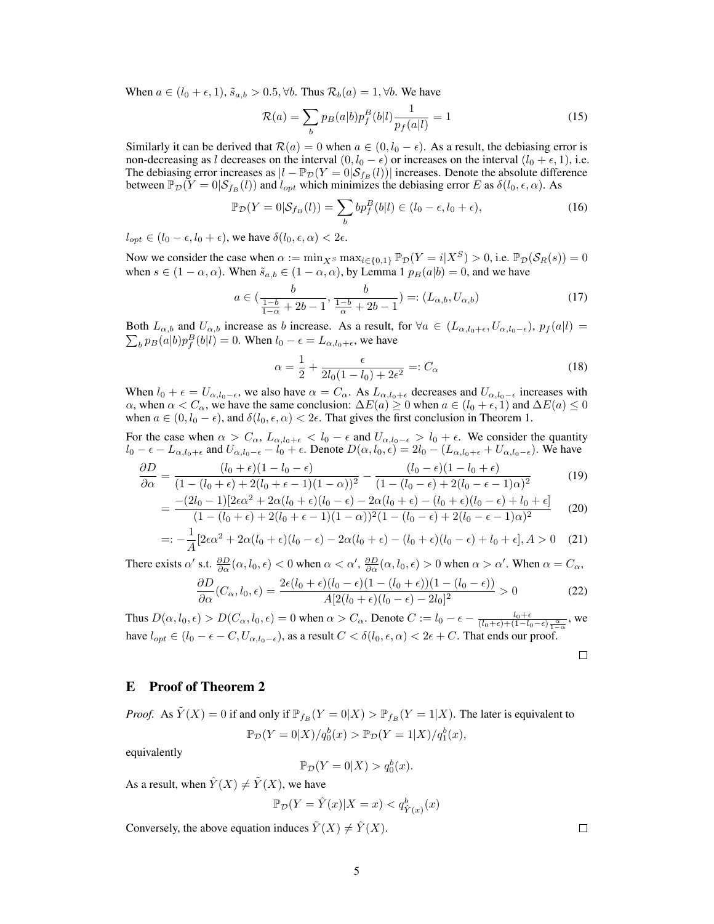When  $a \in (l_0 + \epsilon, 1), \tilde{s}_{a,b} > 0.5, \forall b$ . Thus  $\mathcal{R}_b(a) = 1, \forall b$ . We have

$$
\mathcal{R}(a) = \sum_{b} p_B(a|b) p_f^B(b|l) \frac{1}{p_f(a|l)} = 1
$$
\n(15)

Similarly it can be derived that  $\mathcal{R}(a) = 0$  when  $a \in (0, l_0 - \epsilon)$ . As a result, the debiasing error is non-decreasing as l decreases on the interval  $(0, l_0 - \epsilon)$  or increases on the interval  $(l_0 + \epsilon, 1)$ , i.e. The debiasing error increases as  $|l - \mathbb{P}_{\mathcal{D}}(Y = 0|\mathcal{S}_{f_B}(l))|$  increases. Denote the absolute difference between  $\mathbb{P}_{\mathcal{D}}(Y=0|\mathcal{S}_{f_B}(l))$  and  $l_{opt}$  which minimizes the debiasing error E as  $\delta(l_0,\epsilon,\alpha)$ . As

$$
\mathbb{P}_{\mathcal{D}}(Y=0|\mathcal{S}_{f_B}(l))=\sum_b bp_f^B(b|l) \in (l_0-\epsilon, l_0+\epsilon),\tag{16}
$$

 $l_{opt} \in (l_0 - \epsilon, l_0 + \epsilon)$ , we have  $\delta(l_0, \epsilon, \alpha) < 2\epsilon$ .

Now we consider the case when  $\alpha := \min_{X^S} \max_{i \in \{0,1\}} \mathbb{P}_{\mathcal{D}}(Y = i | X^S) > 0$ , i.e.  $\mathbb{P}_{\mathcal{D}}(\mathcal{S}_R(s)) = 0$ when  $s \in (1 - \alpha, \alpha)$ . When  $\tilde{s}_{a,b} \in (1 - \alpha, \alpha)$ , by Lemma 1  $p_B(a|b) = 0$ , and we have

$$
a \in \left(\frac{b}{\frac{1-b}{1-\alpha} + 2b - 1}, \frac{b}{\frac{1-b}{\alpha} + 2b - 1}\right) =: (L_{\alpha,b}, U_{\alpha,b})
$$
\n(17)

Both  $L_{\alpha,b}$  and  $U_{\alpha,b}$  increase as b increase. As a result, for  $\forall a \in (L_{\alpha,l_0+\epsilon},U_{\alpha,l_0-\epsilon}), p_f(a|l)$  $\sum_b p_B(a|b) p_f^B(b|l) = 0$ . When  $l_0 - \epsilon = L_{\alpha, l_0 + \epsilon}$ , we have

$$
\alpha = \frac{1}{2} + \frac{\epsilon}{2l_0(1 - l_0) + 2\epsilon^2} =: C_\alpha \tag{18}
$$

When  $l_0 + \epsilon = U_{\alpha, l_0 - \epsilon}$ , we also have  $\alpha = C_{\alpha}$ . As  $L_{\alpha, l_0 + \epsilon}$  decreases and  $U_{\alpha, l_0 - \epsilon}$  increases with  $\alpha$ , when  $\alpha < C_\alpha$ , we have the same conclusion:  $\Delta E(a) \ge 0$  when  $a \in (l_0 + \epsilon, 1)$  and  $\Delta E(a) \le 0$ when  $a \in (0, l_0 - \epsilon)$ , and  $\delta(l_0, \epsilon, \alpha) < 2\epsilon$ . That gives the first conclusion in Theorem 1.

For the case when  $\alpha > C_{\alpha}$ ,  $L_{\alpha, l_0+\epsilon} < l_0 - \epsilon$  and  $U_{\alpha, l_0-\epsilon} > l_0 + \epsilon$ . We consider the quantity  $l_0 - \epsilon - L_{\alpha, l_0 + \epsilon}$  and  $U_{\alpha, l_0 - \epsilon} - l_0 + \epsilon$ . Denote  $D(\alpha, l_0, \epsilon) = 2l_0 - (L_{\alpha, l_0 + \epsilon} + U_{\alpha, l_0 - \epsilon})$ . We have

$$
\frac{\partial D}{\partial \alpha} = \frac{(l_0 + \epsilon)(1 - l_0 - \epsilon)}{(1 - (l_0 + \epsilon) + 2(l_0 + \epsilon - 1)(1 - \alpha))^2} - \frac{(l_0 - \epsilon)(1 - l_0 + \epsilon)}{(1 - (l_0 - \epsilon) + 2(l_0 - \epsilon - 1)\alpha)^2}
$$
(19)

$$
= \frac{-(2l_0 - 1)[2\epsilon\alpha^2 + 2\alpha(l_0 + \epsilon)(l_0 - \epsilon) - 2\alpha(l_0 + \epsilon) - (l_0 + \epsilon)(l_0 - \epsilon) + l_0 + \epsilon]}{(1 - (l_0 + \epsilon) + 2(l_0 + \epsilon - 1)(1 - \alpha))^2(1 - (l_0 - \epsilon) + 2(l_0 - \epsilon - 1)\alpha)^2}
$$
(20)

$$
=:-\frac{1}{A}\left[2\epsilon\alpha^2+2\alpha(l_0+\epsilon)(l_0-\epsilon)-2\alpha(l_0+\epsilon)-(l_0+\epsilon)(l_0-\epsilon)+l_0+\epsilon\right],A>0
$$
 (21)

There exists  $\alpha'$  s.t.  $\frac{\partial D}{\partial \alpha}(\alpha, l_0, \epsilon) < 0$  when  $\alpha < \alpha', \frac{\partial D}{\partial \alpha}(\alpha, l_0, \epsilon) > 0$  when  $\alpha > \alpha'$ . When  $\alpha = C_{\alpha}$ ,

$$
\frac{\partial D}{\partial \alpha}(C_{\alpha}, l_0, \epsilon) = \frac{2\epsilon(l_0 + \epsilon)(l_0 - \epsilon)(1 - (l_0 + \epsilon))(1 - (l_0 - \epsilon))}{A[2(l_0 + \epsilon)(l_0 - \epsilon) - 2l_0]^2} > 0
$$
\n(22)

Thus  $D(\alpha, l_0, \epsilon) > D(C_{\alpha}, l_0, \epsilon) = 0$  when  $\alpha > C_{\alpha}$ . Denote  $C := l_0 - \epsilon - \frac{l_0 + \epsilon}{(l_0 + \epsilon) + (1 - l_0 - \epsilon) \frac{\alpha}{1 - \alpha}}$ , we have  $l_{opt} \in (l_0 - \epsilon - C, U_{\alpha, l_0 - \epsilon})$ , as a result  $C < \delta(l_0, \epsilon, \alpha) < 2\epsilon + C$ . That ends our proof.

$$
\qquad \qquad \Box
$$

### E Proof of Theorem 2

*Proof.* As  $\tilde{Y}(X) = 0$  if and only if  $\mathbb{P}_{f_B}(Y = 0 | X) > \mathbb{P}_{f_B}(Y = 1 | X)$ . The later is equivalent to  $\mathbb{P}_{\mathcal{D}}(Y=0|X)/q_0^b(x) > \mathbb{P}_{\mathcal{D}}(Y=1|X)/q_1^b(x),$ 

equivalently

$$
\mathbb{P}_{\mathcal{D}}(Y=0|X) > q_0^b(x).
$$

As a result, when  $\hat{Y}(X) \neq \tilde{Y}(X)$ , we have

$$
\mathbb{P}_{\mathcal{D}}(Y = \hat{Y}(x)|X = x) < q_{\hat{Y}(x)}^b(x)
$$

Conversely, the above equation induces  $\tilde{Y}(X) \neq \hat{Y}(X)$ .

 $\Box$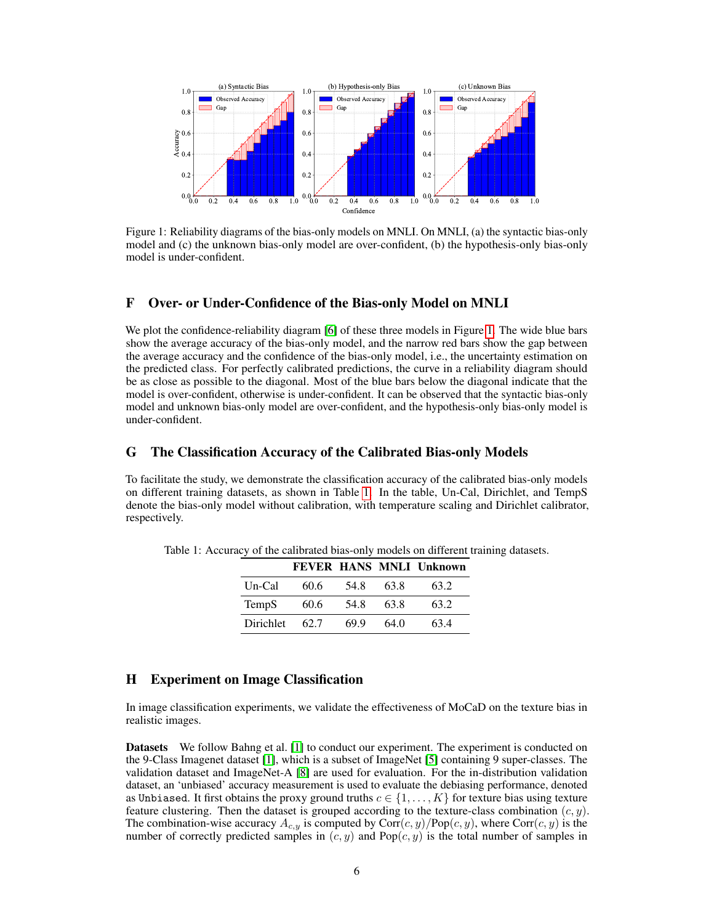

<span id="page-5-0"></span>Figure 1: Reliability diagrams of the bias-only models on MNLI. On MNLI, (a) the syntactic bias-only model and (c) the unknown bias-only model are over-confident, (b) the hypothesis-only bias-only model is under-confident.

## F Over- or Under-Confidence of the Bias-only Model on MNLI

We plot the confidence-reliability diagram [\[6\]](#page-7-7) of these three models in Figure [1.](#page-5-0) The wide blue bars show the average accuracy of the bias-only model, and the narrow red bars show the gap between the average accuracy and the confidence of the bias-only model, i.e., the uncertainty estimation on the predicted class. For perfectly calibrated predictions, the curve in a reliability diagram should be as close as possible to the diagonal. Most of the blue bars below the diagonal indicate that the model is over-confident, otherwise is under-confident. It can be observed that the syntactic bias-only model and unknown bias-only model are over-confident, and the hypothesis-only bias-only model is under-confident.

# G The Classification Accuracy of the Calibrated Bias-only Models

To facilitate the study, we demonstrate the classification accuracy of the calibrated bias-only models on different training datasets, as shown in Table [1.](#page-5-1) In the table, Un-Cal, Dirichlet, and TempS denote the bias-only model without calibration, with temperature scaling and Dirichlet calibrator, respectively.

<span id="page-5-1"></span>

|                  |      |      |      | FEVER HANS MNLI Unknown |
|------------------|------|------|------|-------------------------|
| $Un-Cal$         | 60.6 | 54.8 | 63.8 | 63.2                    |
| TempS            | 60.6 | 54.8 | 63.8 | 63.2                    |
| <b>Dirichlet</b> | 62.7 | 69.9 | 64.0 | 63.4                    |

Table 1: Accuracy of the calibrated bias-only models on different training datasets.

# H Experiment on Image Classification

In image classification experiments, we validate the effectiveness of MoCaD on the texture bias in realistic images.

Datasets We follow Bahng et al. [\[1\]](#page-7-8) to conduct our experiment. The experiment is conducted on the 9-Class Imagenet dataset [\[1\]](#page-7-8), which is a subset of ImageNet [\[5\]](#page-7-9) containing 9 super-classes. The validation dataset and ImageNet-A [\[8\]](#page-7-10) are used for evaluation. For the in-distribution validation dataset, an 'unbiased' accuracy measurement is used to evaluate the debiasing performance, denoted as Unbiased. It first obtains the proxy ground truths  $c \in \{1, \ldots, K\}$  for texture bias using texture feature clustering. Then the dataset is grouped according to the texture-class combination  $(c, y)$ . The combination-wise accuracy  $A_{c,y}$  is computed by  $Corr(c, y)/Pop(c, y)$ , where  $Corr(c, y)$  is the number of correctly predicted samples in  $(c, y)$  and Pop $(c, y)$  is the total number of samples in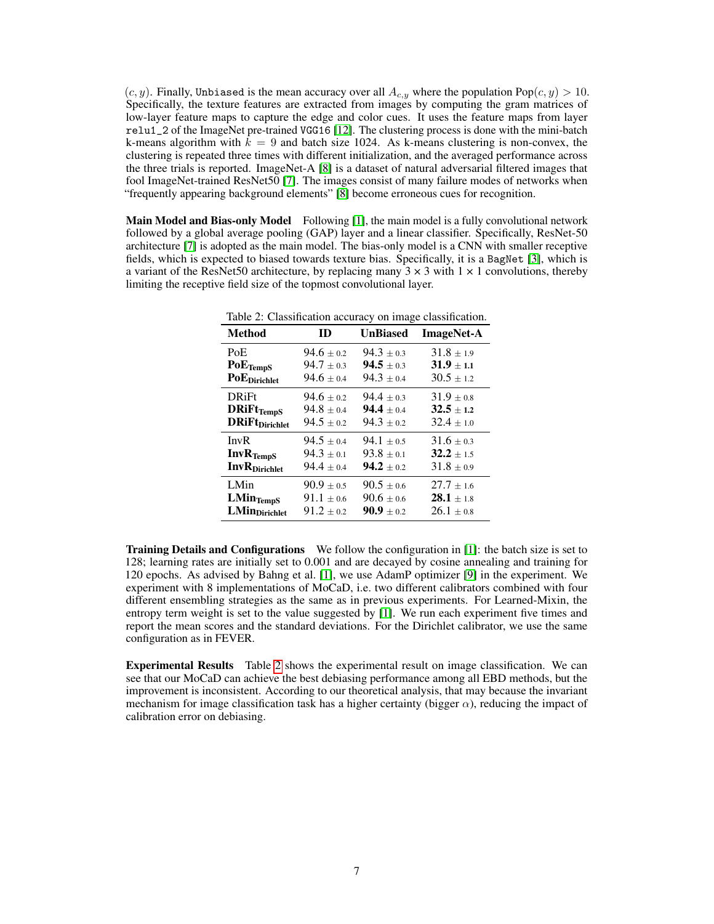$(c, y)$ . Finally, Unbiased is the mean accuracy over all  $A_{c,y}$  where the population Pop $(c, y) > 10$ . Specifically, the texture features are extracted from images by computing the gram matrices of low-layer feature maps to capture the edge and color cues. It uses the feature maps from layer relu1\_2 of the ImageNet pre-trained VGG16 [\[12\]](#page-7-11). The clustering process is done with the mini-batch k-means algorithm with  $k = 9$  and batch size 1024. As k-means clustering is non-convex, the clustering is repeated three times with different initialization, and the averaged performance across the three trials is reported. ImageNet-A [\[8\]](#page-7-10) is a dataset of natural adversarial filtered images that fool ImageNet-trained ResNet50 [\[7\]](#page-7-12). The images consist of many failure modes of networks when "frequently appearing background elements" [\[8\]](#page-7-10) become erroneous cues for recognition.

Main Model and Bias-only Model Following [\[1\]](#page-7-8), the main model is a fully convolutional network followed by a global average pooling (GAP) layer and a linear classifier. Specifically, ResNet-50 architecture [\[7\]](#page-7-12) is adopted as the main model. The bias-only model is a CNN with smaller receptive fields, which is expected to biased towards texture bias. Specifically, it is a BagNet [\[3\]](#page-7-13), which is a variant of the ResNet50 architecture, by replacing many  $3 \times 3$  with  $1 \times 1$  convolutions, thereby limiting the receptive field size of the topmost convolutional layer.

| --- ------ <u>-</u>       |                |                       |                   |  |  |
|---------------------------|----------------|-----------------------|-------------------|--|--|
| <b>Method</b>             | ID             | <b>UnBiased</b>       | <b>ImageNet-A</b> |  |  |
| PoE                       | $94.6 + 0.2$   | $94.3 + 0.3$          | $31.8 \pm 1.9$    |  |  |
| <b>PoETempS</b>           | $94.7 + 0.3$   | <b>94.5</b> $\pm$ 0.3 | $31.9 \pm 1.1$    |  |  |
| PoE <sub>Dirichlet</sub>  | $94.6 + 0.4$   | $94.3 + 0.4$          | $30.5 \pm 1.2$    |  |  |
| <b>DRiFt</b>              | $94.6 + 0.2$   | $94.4 \pm 0.3$        | $31.9 \pm 0.8$    |  |  |
| <b>DRiFt</b> TempS        | $94.8 + 0.4$   | $94.4 + 0.4$          | $32.5 + 1.2$      |  |  |
| <b>DRiFt</b> Dirichlet    | $94.5 + 0.2$   | $94.3 \pm 0.2$        | $32.4 \pm 1.0$    |  |  |
| <b>InvR</b>               | $94.5 + 0.4$   | 94.1 $\pm$ 0.5        | $31.6 \pm 0.3$    |  |  |
| InvR <sub>TempS</sub>     | $94.3 + 0.1$   | $93.8 \pm 0.1$        | $32.2 \pm 1.5$    |  |  |
| <b>InvR</b> Dirichlet     | $94.4 + 0.4$   | $94.2 \pm 0.2$        | $31.8 \pm 0.9$    |  |  |
| LMin                      | $90.9 \pm 0.5$ | $90.5 \pm 0.6$        | $27.7 \pm 1.6$    |  |  |
| $LMin_{TempS}$            | $91.1 + 0.6$   | $90.6 \pm 0.6$        | $28.1 \pm 1.8$    |  |  |
| LMin <sub>Dirichlet</sub> | $91.2 + 0.2$   | $90.9 + 0.2$          | $26.1 \pm 0.8$    |  |  |

<span id="page-6-0"></span>Table 2: Classification accuracy on image classification.

Training Details and Configurations We follow the configuration in [\[1\]](#page-7-8): the batch size is set to 128; learning rates are initially set to 0.001 and are decayed by cosine annealing and training for 120 epochs. As advised by Bahng et al. [\[1\]](#page-7-8), we use AdamP optimizer [\[9\]](#page-7-14) in the experiment. We experiment with 8 implementations of MoCaD, i.e. two different calibrators combined with four different ensembling strategies as the same as in previous experiments. For Learned-Mixin, the entropy term weight is set to the value suggested by [\[1\]](#page-7-8). We run each experiment five times and report the mean scores and the standard deviations. For the Dirichlet calibrator, we use the same configuration as in FEVER.

Experimental Results Table [2](#page-6-0) shows the experimental result on image classification. We can see that our MoCaD can achieve the best debiasing performance among all EBD methods, but the improvement is inconsistent. According to our theoretical analysis, that may because the invariant mechanism for image classification task has a higher certainty (bigger  $\alpha$ ), reducing the impact of calibration error on debiasing.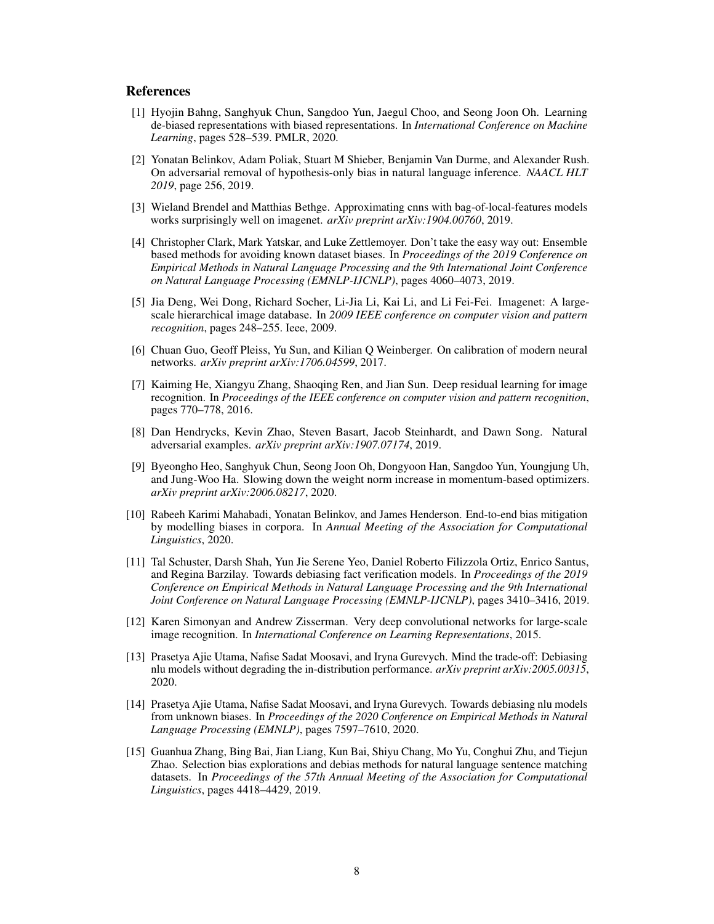#### References

- <span id="page-7-8"></span>[1] Hyojin Bahng, Sanghyuk Chun, Sangdoo Yun, Jaegul Choo, and Seong Joon Oh. Learning de-biased representations with biased representations. In *International Conference on Machine Learning*, pages 528–539. PMLR, 2020.
- <span id="page-7-4"></span>[2] Yonatan Belinkov, Adam Poliak, Stuart M Shieber, Benjamin Van Durme, and Alexander Rush. On adversarial removal of hypothesis-only bias in natural language inference. *NAACL HLT 2019*, page 256, 2019.
- <span id="page-7-13"></span>[3] Wieland Brendel and Matthias Bethge. Approximating cnns with bag-of-local-features models works surprisingly well on imagenet. *arXiv preprint arXiv:1904.00760*, 2019.
- <span id="page-7-2"></span>[4] Christopher Clark, Mark Yatskar, and Luke Zettlemoyer. Don't take the easy way out: Ensemble based methods for avoiding known dataset biases. In *Proceedings of the 2019 Conference on Empirical Methods in Natural Language Processing and the 9th International Joint Conference on Natural Language Processing (EMNLP-IJCNLP)*, pages 4060–4073, 2019.
- <span id="page-7-9"></span>[5] Jia Deng, Wei Dong, Richard Socher, Li-Jia Li, Kai Li, and Li Fei-Fei. Imagenet: A largescale hierarchical image database. In *2009 IEEE conference on computer vision and pattern recognition*, pages 248–255. Ieee, 2009.
- <span id="page-7-7"></span>[6] Chuan Guo, Geoff Pleiss, Yu Sun, and Kilian Q Weinberger. On calibration of modern neural networks. *arXiv preprint arXiv:1706.04599*, 2017.
- <span id="page-7-12"></span>[7] Kaiming He, Xiangyu Zhang, Shaoqing Ren, and Jian Sun. Deep residual learning for image recognition. In *Proceedings of the IEEE conference on computer vision and pattern recognition*, pages 770–778, 2016.
- <span id="page-7-10"></span>[8] Dan Hendrycks, Kevin Zhao, Steven Basart, Jacob Steinhardt, and Dawn Song. Natural adversarial examples. *arXiv preprint arXiv:1907.07174*, 2019.
- <span id="page-7-14"></span>[9] Byeongho Heo, Sanghyuk Chun, Seong Joon Oh, Dongyoon Han, Sangdoo Yun, Youngjung Uh, and Jung-Woo Ha. Slowing down the weight norm increase in momentum-based optimizers. *arXiv preprint arXiv:2006.08217*, 2020.
- <span id="page-7-5"></span>[10] Rabeeh Karimi Mahabadi, Yonatan Belinkov, and James Henderson. End-to-end bias mitigation by modelling biases in corpora. In *Annual Meeting of the Association for Computational Linguistics*, 2020.
- <span id="page-7-1"></span>[11] Tal Schuster, Darsh Shah, Yun Jie Serene Yeo, Daniel Roberto Filizzola Ortiz, Enrico Santus, and Regina Barzilay. Towards debiasing fact verification models. In *Proceedings of the 2019 Conference on Empirical Methods in Natural Language Processing and the 9th International Joint Conference on Natural Language Processing (EMNLP-IJCNLP)*, pages 3410–3416, 2019.
- <span id="page-7-11"></span>[12] Karen Simonyan and Andrew Zisserman. Very deep convolutional networks for large-scale image recognition. In *International Conference on Learning Representations*, 2015.
- <span id="page-7-0"></span>[13] Prasetya Ajie Utama, Nafise Sadat Moosavi, and Iryna Gurevych. Mind the trade-off: Debiasing nlu models without degrading the in-distribution performance. *arXiv preprint arXiv:2005.00315*, 2020.
- <span id="page-7-3"></span>[14] Prasetya Ajie Utama, Nafise Sadat Moosavi, and Iryna Gurevych. Towards debiasing nlu models from unknown biases. In *Proceedings of the 2020 Conference on Empirical Methods in Natural Language Processing (EMNLP)*, pages 7597–7610, 2020.
- <span id="page-7-6"></span>[15] Guanhua Zhang, Bing Bai, Jian Liang, Kun Bai, Shiyu Chang, Mo Yu, Conghui Zhu, and Tiejun Zhao. Selection bias explorations and debias methods for natural language sentence matching datasets. In *Proceedings of the 57th Annual Meeting of the Association for Computational Linguistics*, pages 4418–4429, 2019.